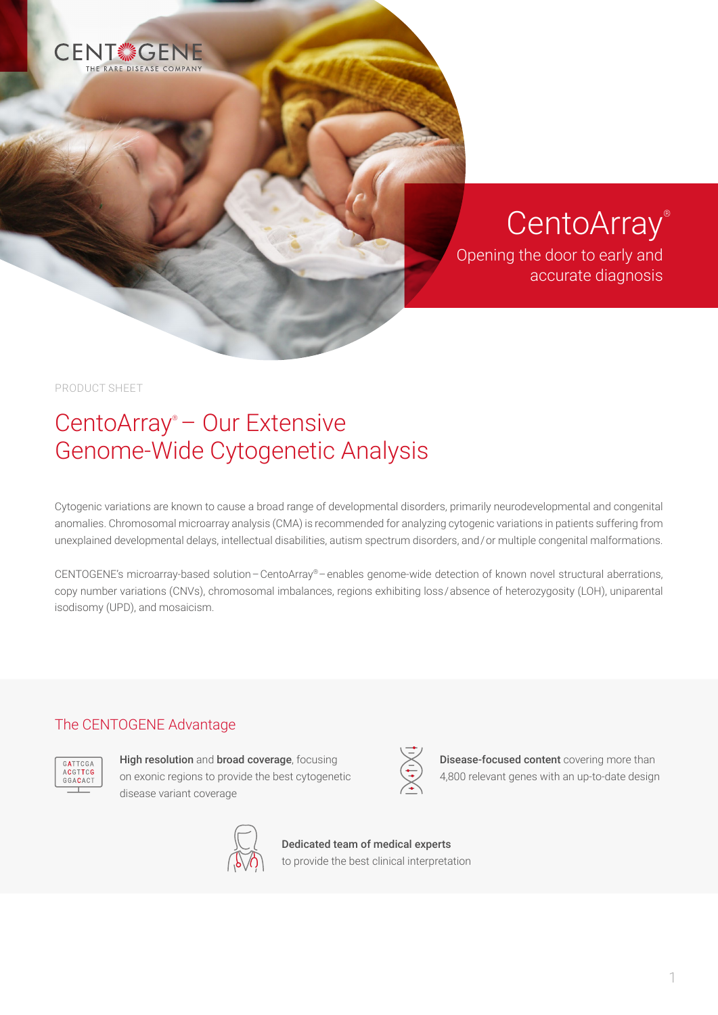

CentoArray®

Opening the door to early and accurate diagnosis

Disease-focused content covering more than 4,800 relevant genes with an up-to-date design

PRODUCT SHEET

## CentoArray® – Our Extensive Genome-Wide Cytogenetic Analysis

Cytogenic variations are known to cause a broad range of developmental disorders, primarily neurodevelopmental and congenital anomalies. Chromosomal microarray analysis (CMA) is recommended for analyzing cytogenic variations in patients suffering from unexplained developmental delays, intellectual disabilities, autism spectrum disorders, and / or multiple congenital malformations.

CENTOGENE's microarray-based solution – CentoArray® – enables genome-wide detection of known novel structural aberrations, copy number variations (CNVs), chromosomal imbalances, regions exhibiting loss / absence of heterozygosity (LOH), uniparental isodisomy (UPD), and mosaicism.

## The CENTOGENE Advantage



High resolution and broad coverage, focusing on exonic regions to provide the best cytogenetic disease variant coverage



Dedicated team of medical experts to provide the best clinical interpretation